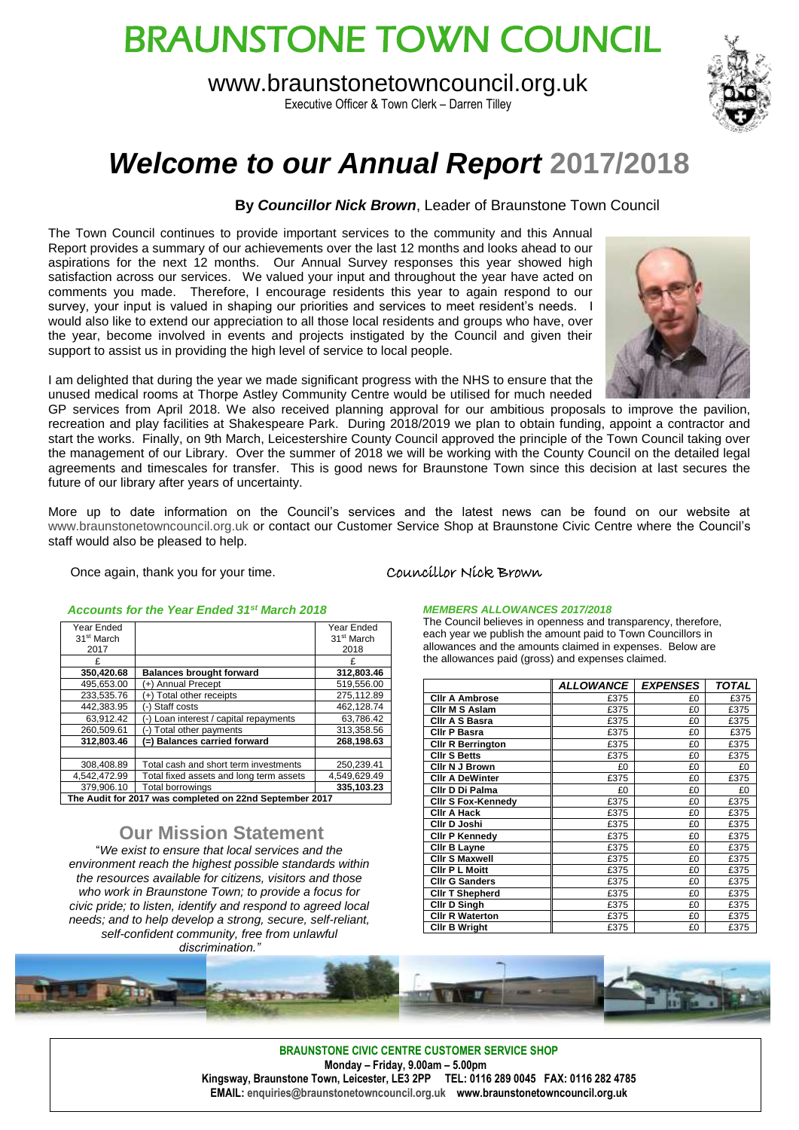# BRAUNSTONE TOWN COUNCIL

www.braunstonetowncouncil.org.uk

Executive Officer & Town Clerk – Darren Tilley



## *Welcome to our Annual Report* **2017/2018**

#### **By** *Councillor Nick Brown*, Leader of Braunstone Town Council

The Town Council continues to provide important services to the community and this Annual Report provides a summary of our achievements over the last 12 months and looks ahead to our aspirations for the next 12 months. Our Annual Survey responses this year showed high satisfaction across our services. We valued your input and throughout the year have acted on comments you made. Therefore, I encourage residents this year to again respond to our survey, your input is valued in shaping our priorities and services to meet resident's needs. I would also like to extend our appreciation to all those local residents and groups who have, over the year, become involved in events and projects instigated by the Council and given their support to assist us in providing the high level of service to local people.



I am delighted that during the year we made significant progress with the NHS to ensure that the unused medical rooms at Thorpe Astley Community Centre would be utilised for much needed

GP services from April 2018. We also received planning approval for our ambitious proposals to improve the pavilion, recreation and play facilities at Shakespeare Park. During 2018/2019 we plan to obtain funding, appoint a contractor and start the works. Finally, on 9th March, Leicestershire County Council approved the principle of the Town Council taking over the management of our Library. Over the summer of 2018 we will be working with the County Council on the detailed legal agreements and timescales for transfer. This is good news for Braunstone Town since this decision at last secures the future of our library after years of uncertainty.

More up to date information on the Council's services and the latest news can be found on our website at [www.braunstonetowncouncil.org.uk](http://www.braunstonetowncouncil.org.uk/) or contact our Customer Service Shop at Braunstone Civic Centre where the Council's staff would also be pleased to help.

Once again, thank you for your time. Councillor Nick Brown

#### *Accounts for the Year Ended 31st March 2018*

| Year Ended                                              |                                         | Year Ended             |  |  |
|---------------------------------------------------------|-----------------------------------------|------------------------|--|--|
| 31 <sup>st</sup> March                                  |                                         | 31 <sup>st</sup> March |  |  |
| 2017                                                    |                                         | 2018                   |  |  |
|                                                         |                                         | F                      |  |  |
| 350,420.68                                              | <b>Balances brought forward</b>         | 312,803.46             |  |  |
| 495,653.00                                              | +) Annual Precept                       | 519,556.00             |  |  |
| 233,535.76                                              | Total other receipts                    | 275.112.89             |  |  |
| 442.383.95                                              | (-) Staff costs                         | 462.128.74             |  |  |
| 63,912.42                                               | -) Loan interest / capital repayments   | 63.786.42              |  |  |
| 260,509.61                                              | Total other payments<br>- 1             | 313,358.56             |  |  |
| 312.803.46                                              | (=) Balances carried forward            | 268,198.63             |  |  |
|                                                         |                                         |                        |  |  |
| 308.408.89                                              | Total cash and short term investments   | 250.239.41             |  |  |
| 4,542,472.99                                            | Total fixed assets and long term assets | 4,549,629.49           |  |  |
| 379.906.10                                              | <b>Total borrowings</b>                 | 335,103.23             |  |  |
| The Audit for 2017 was completed on 22nd September 2017 |                                         |                        |  |  |

#### **Our Mission Statement**

"*We exist to ensure that local services and the environment reach the highest possible standards within the resources available for citizens, visitors and those who work in Braunstone Town; to provide a focus for civic pride; to listen, identify and respond to agreed local needs; and to help develop a strong, secure, self-reliant, self-confident community, free from unlawful discrimination."*

#### *MEMBERS ALLOWANCES 2017/2018*

The Council believes in openness and transparency, therefore, each year we publish the amount paid to Town Councillors in allowances and the amounts claimed in expenses. Below are the allowances paid (gross) and expenses claimed.

|                           | <b>ALLOWANCE</b> I | <b>EXPENSES</b> | TOTAL |
|---------------------------|--------------------|-----------------|-------|
| <b>CIIr A Ambrose</b>     | £375               | £0              | £375  |
| Ciir M S Aslam            | £375               | £0              | £375  |
| Clir A S Basra            | £375               | £0              | £375  |
| Ciir P Basra              | £375               | £0              | £375  |
| <b>CIIr R Berrington</b>  | £375               | £0              | £375  |
| <b>CIIr S Betts</b>       | £375               | £0              | £375  |
| Clir N J Brown            | £0                 | £0              | £0    |
| <b>CIIr A DeWinter</b>    | £375               | £0              | £375  |
| Ciir D Di Palma           | £0                 | £0              | £0    |
| <b>CIIr S Fox-Kennedy</b> | £375               | £0              | £375  |
| Ciir A Hack               | £375               | £0              | £375  |
| Cllr D Joshi              | £375               | £0              | £375  |
| <b>CIIr P Kennedy</b>     | £375               | £0              | £375  |
| Clir B Layne              | £375               | £0              | £375  |
| <b>CIIr S Maxwell</b>     | £375               | £0              | £375  |
| <b>CIIr P L Moitt</b>     | £375               | £0              | £375  |
| <b>CIIr G Sanders</b>     | £375               | £0              | £375  |
| <b>CIIr T Shepherd</b>    | £375               | £0              | £375  |
| Clir D Singh              | £375               | £0              | £375  |
| <b>CIIr R Waterton</b>    | £375               | £0              | £375  |
| <b>CIIr B Wright</b>      | £375               | £0              | £375  |



**BRAUNSTONE CIVIC CENTRE CUSTOMER SERVICE SHOP Monday – Friday, 9.00am – 5.00pm Kingsway, Braunstone Town, Leicester, LE3 2PP TEL: 0116 289 0045 FAX: 0116 282 4785 EMAIL[: enquiries@braunstonetowncouncil.org.uk](mailto:enquiries@braunstonetowncouncil.org.uk) www.braunstonetowncouncil.org.uk**